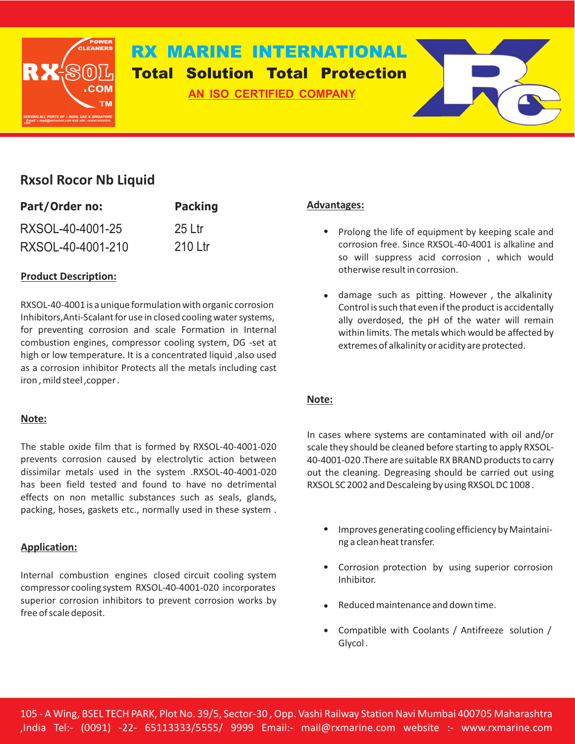

# **RX MARINE INTERNATIONAL Total Solution Total Protection**

**AN ISO CERTIFIED COMPANY**



## **Rxsol Rocor Nb Liquid**

| Part/Order no:    | <b>Packing</b> |  |  |
|-------------------|----------------|--|--|
| RXSOL-40-4001-25  | $25$ Ltr       |  |  |
| RXSOL-40-4001-210 | 210 Ltr        |  |  |

## **Product Description:**

RXSOL-40-4001 is a unique formulation with organic corrosion Inhibitors,Anti-Scalant for use in closed cooling water systems, for preventing corrosion and scale Formation in Internal combustion engines, compressor cooling system, DG -set at high or low temperature. It is a concentrated liquid ,also used as a corrosion inhibitor Protects all the metals including cast iron , mild steel ,copper .

## **Note:**

The stable oxide film that is formed by RXSOL-40-4001-020 prevents corrosion caused by electrolytic action between dissimilar metals used in the system .RXSOL-40-4001-020 has been field tested and found to have no detrimental effects on non metallic substances such as seals, glands, packing, hoses, gaskets etc., normally used in these system .

## **Application:**

Internal combustion engines closed circuit cooling system compressor cooling system RXSOL-40-4001-020 incorporates superior corrosion inhibitors to prevent corrosion works by free of scale deposit.

#### **Advantages:**

- Prolong the life of equipment by keeping scale and corrosion free. Since RXSOL-40-4001 is alkaline and so will suppress acid corrosion , which would otherwise result in corrosion.
- damage such as pitting. However , the alkalinity Control is such that even if the product is accidentally ally overdosed, the pH of the water will remain within limits. The metals which would be affected by extremes of alkalinity or acidity are protected.

## **Note:**

In cases where systems are contaminated with oil and/or scale they should be cleaned before starting to apply RXSOL-40-4001-020 .There are suitable RX BRAND products to carry out the cleaning. Degreasing should be carried out using RXSOL SC 2002 and Descaleing by using RXSOL DC 1008 .

- **•** Improves generating cooling efficiency by Maintaining a clean heat transfer.
- Corrosion protection by using superior corrosion Inhibitor.
- Reduced maintenance and down time.
- Compatible with Coolants / Antifreeze solution / Glycol .

105 - A Wing, BSEL TECH PARK, Plot No. 39/5, Sector-30 , Opp. Vashi Railway Station Navi Mumbai 400705 Maharashtra ,India Tel:- (0091) -22- 65113333/5555/ 9999 Email:- mail@rxmarine.com website :- www.rxmarine.com